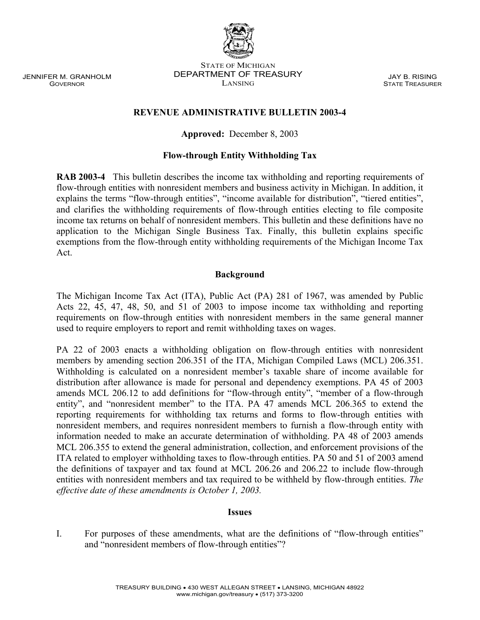JENNIFER M. GRANHOLM GOVERNOR

#### STATE OF MICHIGAN DEPARTMENT OF TREASURY LANSING

JAY B. RISING STATE TREASURER

## **REVENUE ADMINISTRATIVE BULLETIN 2003-4**

## **Approved:** December 8, 2003

## **Flow-through Entity Withholding Tax**

**RAB 2003-4** This bulletin describes the income tax withholding and reporting requirements of flow-through entities with nonresident members and business activity in Michigan. In addition, it explains the terms "flow-through entities", "income available for distribution", "tiered entities", and clarifies the withholding requirements of flow-through entities electing to file composite income tax returns on behalf of nonresident members. This bulletin and these definitions have no application to the Michigan Single Business Tax. Finally, this bulletin explains specific exemptions from the flow-through entity withholding requirements of the Michigan Income Tax Act.

## **Background**

The Michigan Income Tax Act (ITA), Public Act (PA) 281 of 1967, was amended by Public Acts 22, 45, 47, 48, 50, and 51 of 2003 to impose income tax withholding and reporting requirements on flow-through entities with nonresident members in the same general manner used to require employers to report and remit withholding taxes on wages.

PA 22 of 2003 enacts a withholding obligation on flow-through entities with nonresident members by amending section 206.351 of the ITA, Michigan Compiled Laws (MCL) 206.351. Withholding is calculated on a nonresident member's taxable share of income available for distribution after allowance is made for personal and dependency exemptions. PA 45 of 2003 amends MCL 206.12 to add definitions for "flow-through entity", "member of a flow-through entity", and "nonresident member" to the ITA. PA 47 amends MCL 206.365 to extend the reporting requirements for withholding tax returns and forms to flow-through entities with nonresident members, and requires nonresident members to furnish a flow-through entity with information needed to make an accurate determination of withholding. PA 48 of 2003 amends MCL 206.355 to extend the general administration, collection, and enforcement provisions of the ITA related to employer withholding taxes to flow-through entities. PA 50 and 51 of 2003 amend the definitions of taxpayer and tax found at MCL 206.26 and 206.22 to include flow-through entities with nonresident members and tax required to be withheld by flow-through entities. *The effective date of these amendments is October 1, 2003.*

#### **Issues**

I. For purposes of these amendments, what are the definitions of "flow-through entities" and "nonresident members of flow-through entities"?

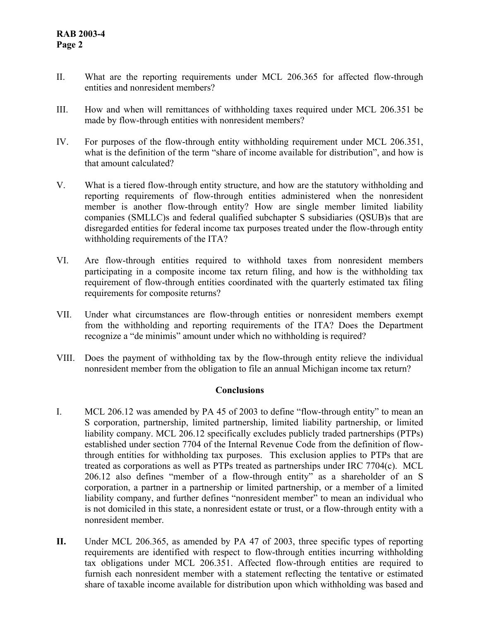- II. What are the reporting requirements under MCL 206.365 for affected flow-through entities and nonresident members?
- III. How and when will remittances of withholding taxes required under MCL 206.351 be made by flow-through entities with nonresident members?
- IV. For purposes of the flow-through entity withholding requirement under MCL 206.351, what is the definition of the term "share of income available for distribution", and how is that amount calculated?
- V. What is a tiered flow-through entity structure, and how are the statutory withholding and reporting requirements of flow-through entities administered when the nonresident member is another flow-through entity? How are single member limited liability companies (SMLLC)s and federal qualified subchapter S subsidiaries (QSUB)s that are disregarded entities for federal income tax purposes treated under the flow-through entity withholding requirements of the ITA?
- VI. Are flow-through entities required to withhold taxes from nonresident members participating in a composite income tax return filing, and how is the withholding tax requirement of flow-through entities coordinated with the quarterly estimated tax filing requirements for composite returns?
- VII. Under what circumstances are flow-through entities or nonresident members exempt from the withholding and reporting requirements of the ITA? Does the Department recognize a "de minimis" amount under which no withholding is required?
- VIII. Does the payment of withholding tax by the flow-through entity relieve the individual nonresident member from the obligation to file an annual Michigan income tax return?

## **Conclusions**

- I. MCL 206.12 was amended by PA 45 of 2003 to define "flow-through entity" to mean an S corporation, partnership, limited partnership, limited liability partnership, or limited liability company. MCL 206.12 specifically excludes publicly traded partnerships (PTPs) established under section 7704 of the Internal Revenue Code from the definition of flowthrough entities for withholding tax purposes.This exclusion applies to PTPs that are treated as corporations as well as PTPs treated as partnerships under IRC 7704(c).MCL 206.12 also defines "member of a flow-through entity" as a shareholder of an S corporation, a partner in a partnership or limited partnership, or a member of a limited liability company, and further defines "nonresident member" to mean an individual who is not domiciled in this state, a nonresident estate or trust, or a flow-through entity with a nonresident member.
- **II.** Under MCL 206.365, as amended by PA 47 of 2003, three specific types of reporting requirements are identified with respect to flow-through entities incurring withholding tax obligations under MCL 206.351. Affected flow-through entities are required to furnish each nonresident member with a statement reflecting the tentative or estimated share of taxable income available for distribution upon which withholding was based and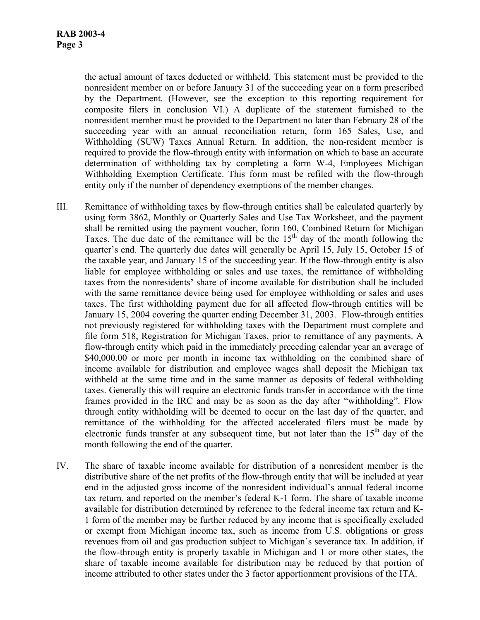the actual amount of taxes deducted or withheld. This statement must be provided to the nonresident member on or before January 31 of the succeeding year on a form prescribed by the Department. (However, see the exception to this reporting requirement for composite filers in conclusion VI.) A duplicate of the statement furnished to the nonresident member must be provided to the Department no later than February 28 of the succeeding year with an annual reconciliation return, form 165 Sales, Use, and Withholding (SUW) Taxes Annual Return. In addition, the non-resident member is required to provide the flow-through entity with information on which to base an accurate determination of withholding tax by completing a form W-4, Employees Michigan Withholding Exemption Certificate. This form must be refiled with the flow-through entity only if the number of dependency exemptions of the member changes.

- III. Remittance of withholding taxes by flow-through entities shall be calculated quarterly by using form 3862, Monthly or Quarterly Sales and Use Tax Worksheet, and the payment shall be remitted using the payment voucher, form 160, Combined Return for Michigan Taxes. The due date of the remittance will be the  $15<sup>th</sup>$  day of the month following the quarter's end. The quarterly due dates will generally be April 15, July 15, October 15 of the taxable year, and January 15 of the succeeding year. If the flow-through entity is also liable for employee withholding or sales and use taxes, the remittance of withholding taxes from the nonresidents**'** share of income available for distribution shall be included with the same remittance device being used for employee withholding or sales and uses taxes. The first withholding payment due for all affected flow-through entities will be January 15, 2004 covering the quarter ending December 31, 2003. Flow-through entities not previously registered for withholding taxes with the Department must complete and file form 518, Registration for Michigan Taxes, prior to remittance of any payments. A flow-through entity which paid in the immediately preceding calendar year an average of \$40,000.00 or more per month in income tax withholding on the combined share of income available for distribution and employee wages shall deposit the Michigan tax withheld at the same time and in the same manner as deposits of federal withholding taxes. Generally this will require an electronic funds transfer in accordance with the time frames provided in the IRC and may be as soon as the day after "withholding". Flow through entity withholding will be deemed to occur on the last day of the quarter, and remittance of the withholding for the affected accelerated filers must be made by electronic funds transfer at any subsequent time, but not later than the  $15<sup>th</sup>$  day of the month following the end of the quarter.
- IV. The share of taxable income available for distribution of a nonresident member is the distributive share of the net profits of the flow-through entity that will be included at year end in the adjusted gross income of the nonresident individual's annual federal income tax return, and reported on the member's federal K-1 form. The share of taxable income available for distribution determined by reference to the federal income tax return and K-1 form of the member may be further reduced by any income that is specifically excluded or exempt from Michigan income tax, such as income from U.S. obligations or gross revenues from oil and gas production subject to Michigan's severance tax. In addition, if the flow-through entity is properly taxable in Michigan and 1 or more other states, the share of taxable income available for distribution may be reduced by that portion of income attributed to other states under the 3 factor apportionment provisions of the ITA.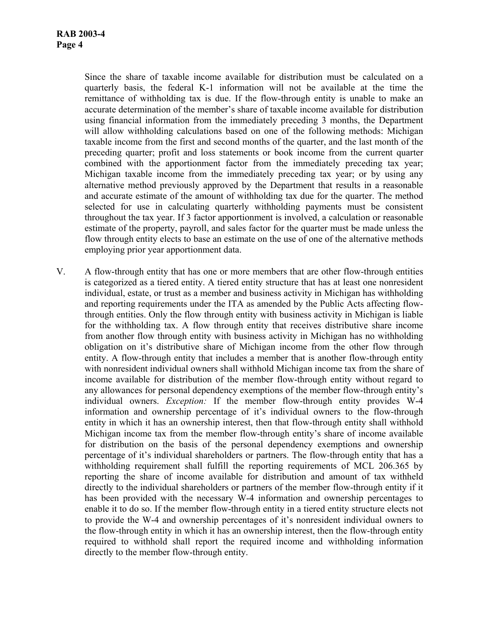Since the share of taxable income available for distribution must be calculated on a quarterly basis, the federal K-1 information will not be available at the time the remittance of withholding tax is due. If the flow-through entity is unable to make an accurate determination of the member's share of taxable income available for distribution using financial information from the immediately preceding 3 months, the Department will allow withholding calculations based on one of the following methods: Michigan taxable income from the first and second months of the quarter, and the last month of the preceding quarter; profit and loss statements or book income from the current quarter combined with the apportionment factor from the immediately preceding tax year; Michigan taxable income from the immediately preceding tax year; or by using any alternative method previously approved by the Department that results in a reasonable and accurate estimate of the amount of withholding tax due for the quarter. The method selected for use in calculating quarterly withholding payments must be consistent throughout the tax year. If 3 factor apportionment is involved, a calculation or reasonable estimate of the property, payroll, and sales factor for the quarter must be made unless the flow through entity elects to base an estimate on the use of one of the alternative methods employing prior year apportionment data.

V. A flow-through entity that has one or more members that are other flow-through entities is categorized as a tiered entity. A tiered entity structure that has at least one nonresident individual, estate, or trust as a member and business activity in Michigan has withholding and reporting requirements under the ITA as amended by the Public Acts affecting flowthrough entities. Only the flow through entity with business activity in Michigan is liable for the withholding tax. A flow through entity that receives distributive share income from another flow through entity with business activity in Michigan has no withholding obligation on it's distributive share of Michigan income from the other flow through entity. A flow-through entity that includes a member that is another flow-through entity with nonresident individual owners shall withhold Michigan income tax from the share of income available for distribution of the member flow-through entity without regard to any allowances for personal dependency exemptions of the member flow-through entity's individual owners. *Exception:* If the member flow-through entity provides W-4 information and ownership percentage of it's individual owners to the flow-through entity in which it has an ownership interest, then that flow-through entity shall withhold Michigan income tax from the member flow-through entity's share of income available for distribution on the basis of the personal dependency exemptions and ownership percentage of it's individual shareholders or partners. The flow-through entity that has a withholding requirement shall fulfill the reporting requirements of MCL 206.365 by reporting the share of income available for distribution and amount of tax withheld directly to the individual shareholders or partners of the member flow-through entity if it has been provided with the necessary W-4 information and ownership percentages to enable it to do so. If the member flow-through entity in a tiered entity structure elects not to provide the W-4 and ownership percentages of it's nonresident individual owners to the flow-through entity in which it has an ownership interest, then the flow-through entity required to withhold shall report the required income and withholding information directly to the member flow-through entity.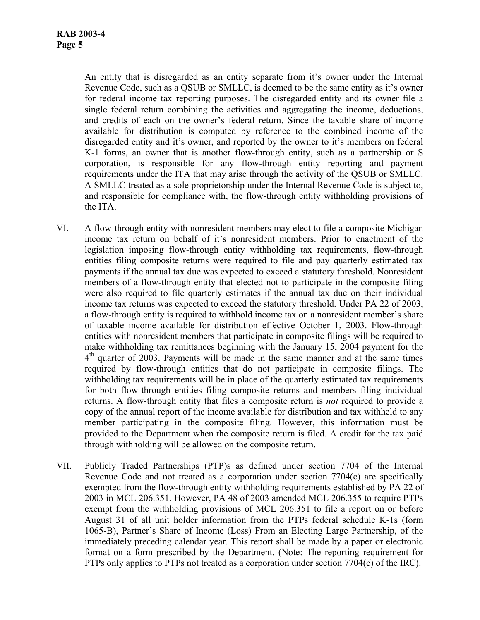An entity that is disregarded as an entity separate from it's owner under the Internal Revenue Code, such as a QSUB or SMLLC, is deemed to be the same entity as it's owner for federal income tax reporting purposes. The disregarded entity and its owner file a single federal return combining the activities and aggregating the income, deductions, and credits of each on the owner's federal return. Since the taxable share of income available for distribution is computed by reference to the combined income of the disregarded entity and it's owner, and reported by the owner to it's members on federal K-1 forms, an owner that is another flow-through entity, such as a partnership or S corporation, is responsible for any flow-through entity reporting and payment requirements under the ITA that may arise through the activity of the QSUB or SMLLC. A SMLLC treated as a sole proprietorship under the Internal Revenue Code is subject to, and responsible for compliance with, the flow-through entity withholding provisions of the ITA.

- VI. A flow-through entity with nonresident members may elect to file a composite Michigan income tax return on behalf of it's nonresident members. Prior to enactment of the legislation imposing flow-through entity withholding tax requirements, flow-through entities filing composite returns were required to file and pay quarterly estimated tax payments if the annual tax due was expected to exceed a statutory threshold. Nonresident members of a flow-through entity that elected not to participate in the composite filing were also required to file quarterly estimates if the annual tax due on their individual income tax returns was expected to exceed the statutory threshold. Under PA 22 of 2003, a flow-through entity is required to withhold income tax on a nonresident member's share of taxable income available for distribution effective October 1, 2003. Flow-through entities with nonresident members that participate in composite filings will be required to make withholding tax remittances beginning with the January 15, 2004 payment for the  $4<sup>th</sup>$  quarter of 2003. Payments will be made in the same manner and at the same times required by flow-through entities that do not participate in composite filings. The withholding tax requirements will be in place of the quarterly estimated tax requirements for both flow-through entities filing composite returns and members filing individual returns. A flow-through entity that files a composite return is *not* required to provide a copy of the annual report of the income available for distribution and tax withheld to any member participating in the composite filing. However, this information must be provided to the Department when the composite return is filed. A credit for the tax paid through withholding will be allowed on the composite return.
- VII. Publicly Traded Partnerships (PTP)s as defined under section 7704 of the Internal Revenue Code and not treated as a corporation under section 7704(c) are specifically exempted from the flow-through entity withholding requirements established by PA 22 of 2003 in MCL 206.351. However, PA 48 of 2003 amended MCL 206.355 to require PTPs exempt from the withholding provisions of MCL 206.351 to file a report on or before August 31 of all unit holder information from the PTPs federal schedule K-1s (form 1065-B), Partner's Share of Income (Loss) From an Electing Large Partnership, of the immediately preceding calendar year. This report shall be made by a paper or electronic format on a form prescribed by the Department. (Note: The reporting requirement for PTPs only applies to PTPs not treated as a corporation under section 7704(c) of the IRC).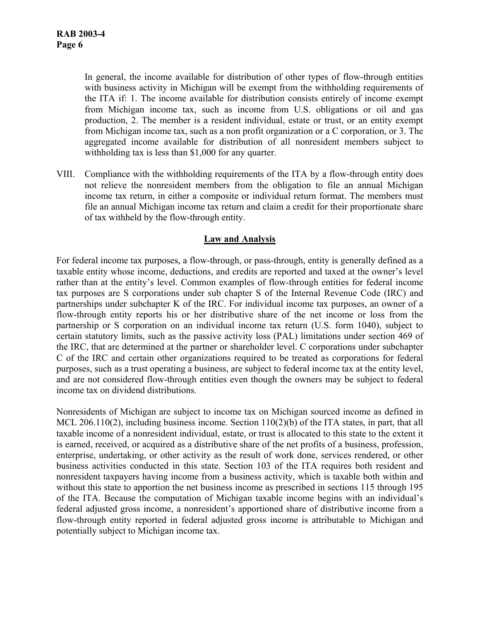In general, the income available for distribution of other types of flow-through entities with business activity in Michigan will be exempt from the withholding requirements of the ITA if: 1. The income available for distribution consists entirely of income exempt from Michigan income tax, such as income from U.S. obligations or oil and gas production, 2. The member is a resident individual, estate or trust, or an entity exempt from Michigan income tax, such as a non profit organization or a C corporation, or 3. The aggregated income available for distribution of all nonresident members subject to withholding tax is less than \$1,000 for any quarter.

VIII. Compliance with the withholding requirements of the ITA by a flow-through entity does not relieve the nonresident members from the obligation to file an annual Michigan income tax return, in either a composite or individual return format. The members must file an annual Michigan income tax return and claim a credit for their proportionate share of tax withheld by the flow-through entity.

# **Law and Analysis**

For federal income tax purposes, a flow-through, or pass-through, entity is generally defined as a taxable entity whose income, deductions, and credits are reported and taxed at the owner's level rather than at the entity's level. Common examples of flow-through entities for federal income tax purposes are S corporations under sub chapter S of the Internal Revenue Code (IRC) and partnerships under subchapter K of the IRC. For individual income tax purposes, an owner of a flow-through entity reports his or her distributive share of the net income or loss from the partnership or S corporation on an individual income tax return (U.S. form 1040), subject to certain statutory limits, such as the passive activity loss (PAL) limitations under section 469 of the IRC, that are determined at the partner or shareholder level. C corporations under subchapter C of the IRC and certain other organizations required to be treated as corporations for federal purposes, such as a trust operating a business, are subject to federal income tax at the entity level, and are not considered flow-through entities even though the owners may be subject to federal income tax on dividend distributions.

Nonresidents of Michigan are subject to income tax on Michigan sourced income as defined in MCL 206.110(2), including business income. Section 110(2)(b) of the ITA states, in part, that all taxable income of a nonresident individual, estate, or trust is allocated to this state to the extent it is earned, received, or acquired as a distributive share of the net profits of a business, profession, enterprise, undertaking, or other activity as the result of work done, services rendered, or other business activities conducted in this state. Section 103 of the ITA requires both resident and nonresident taxpayers having income from a business activity, which is taxable both within and without this state to apportion the net business income as prescribed in sections 115 through 195 of the ITA. Because the computation of Michigan taxable income begins with an individual's federal adjusted gross income, a nonresident's apportioned share of distributive income from a flow-through entity reported in federal adjusted gross income is attributable to Michigan and potentially subject to Michigan income tax.